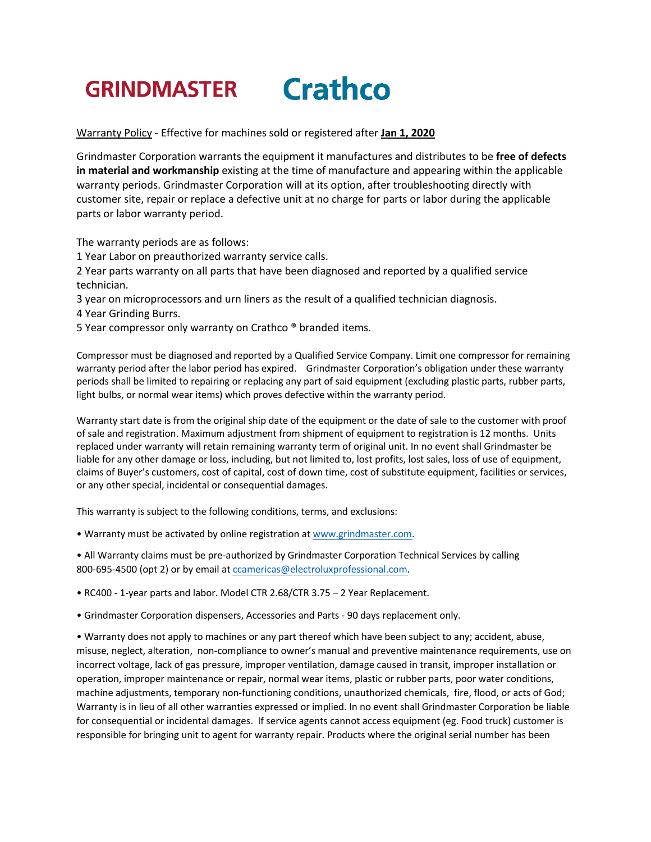## **Crathco GRINDMASTER**

Warranty Policy - Effective for machines sold or registered after **Jan 1, 2020**

Grindmaster Corporation warrants the equipment it manufactures and distributes to be **free of defects in material and workmanship** existing at the time of manufacture and appearing within the applicable warranty periods. Grindmaster Corporation will at its option, after troubleshooting directly with customer site, repair or replace a defective unit at no charge for parts or labor during the applicable parts or labor warranty period.

The warranty periods are as follows:

1 Year Labor on preauthorized warranty service calls.

2 Year parts warranty on all parts that have been diagnosed and reported by a qualified service technician.

3 year on microprocessors and urn liners as the result of a qualified technician diagnosis.

4 Year Grinding Burrs.

5 Year compressor only warranty on Crathco ® branded items.

Compressor must be diagnosed and reported by a Qualified Service Company. Limit one compressor for remaining warranty period after the labor period has expired. Grindmaster Corporation's obligation under these warranty periods shall be limited to repairing or replacing any part of said equipment (excluding plastic parts, rubber parts, light bulbs, or normal wear items) which proves defective within the warranty period.

Warranty start date is from the original ship date of the equipment or the date of sale to the customer with proof of sale and registration. Maximum adjustment from shipment of equipment to registration is 12 months. Units replaced under warranty will retain remaining warranty term of original unit. In no event shall Grindmaster be liable for any other damage or loss, including, but not limited to, lost profits, lost sales, loss of use of equipment, claims of Buyer's customers, cost of capital, cost of down time, cost of substitute equipment, facilities or services, or any other special, incidental or consequential damages.

This warranty is subject to the following conditions, terms, and exclusions:

• Warranty must be activated by online registration at www.grindmaster.com.

• All Warranty claims must be pre-authorized by Grindmaster Corporation Technical Services by calling 800-695-4500 (opt 2) or by email at ccamericas@electroluxprofessional.com.

• RC400 - 1-year parts and labor. Model CTR 2.68/CTR 3.75 – 2 Year Replacement.

• Grindmaster Corporation dispensers, Accessories and Parts - 90 days replacement only.

• Warranty does not apply to machines or any part thereof which have been subject to any; accident, abuse, misuse, neglect, alteration, non-compliance to owner's manual and preventive maintenance requirements, use on incorrect voltage, lack of gas pressure, improper ventilation, damage caused in transit, improper installation or operation, improper maintenance or repair, normal wear items, plastic or rubber parts, poor water conditions, machine adjustments, temporary non-functioning conditions, unauthorized chemicals, fire, flood, or acts of God; Warranty is in lieu of all other warranties expressed or implied. In no event shall Grindmaster Corporation be liable for consequential or incidental damages. If service agents cannot access equipment (eg. Food truck) customer is responsible for bringing unit to agent for warranty repair. Products where the original serial number has been